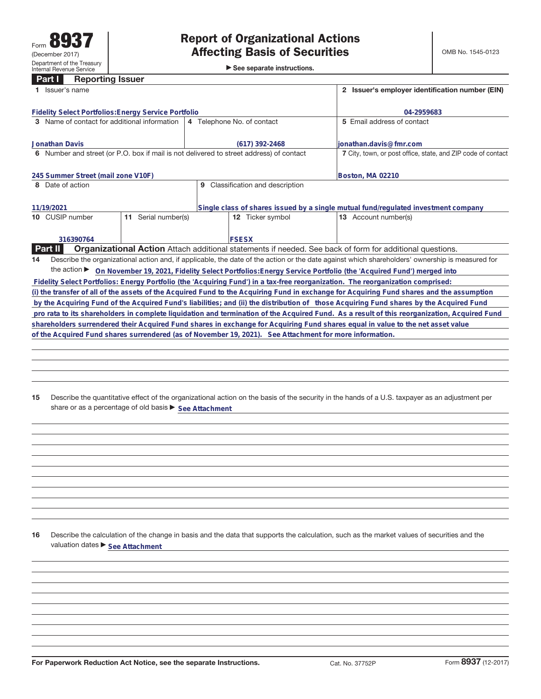# **Part I Reporting Issuer**

|                  | 1 Issuer's name                                                                                                                                 |                        |                                                                                         |                                  |  | 2 Issuer's employer identification number (EIN)                                                                                              |  |  |
|------------------|-------------------------------------------------------------------------------------------------------------------------------------------------|------------------------|-----------------------------------------------------------------------------------------|----------------------------------|--|----------------------------------------------------------------------------------------------------------------------------------------------|--|--|
|                  | Fidelity Select Portfolios: Energy Service Portfolio                                                                                            |                        |                                                                                         | 04-2959683                       |  |                                                                                                                                              |  |  |
|                  | 3 Name of contact for additional information                                                                                                    |                        | 4 Telephone No. of contact                                                              |                                  |  | 5 Email address of contact                                                                                                                   |  |  |
|                  |                                                                                                                                                 |                        |                                                                                         |                                  |  |                                                                                                                                              |  |  |
|                  | Jonathan Davis                                                                                                                                  |                        | $(617)$ 392-2468                                                                        |                                  |  | ionathan.davis@fmr.com                                                                                                                       |  |  |
|                  |                                                                                                                                                 |                        | 6 Number and street (or P.O. box if mail is not delivered to street address) of contact |                                  |  | 7 City, town, or post office, state, and ZIP code of contact                                                                                 |  |  |
|                  | 245 Summer Street (mail zone V10F)                                                                                                              |                        |                                                                                         |                                  |  | Boston, MA 02210                                                                                                                             |  |  |
|                  |                                                                                                                                                 |                        |                                                                                         |                                  |  |                                                                                                                                              |  |  |
| 8 Date of action |                                                                                                                                                 |                        |                                                                                         | 9 Classification and description |  |                                                                                                                                              |  |  |
|                  |                                                                                                                                                 |                        |                                                                                         |                                  |  |                                                                                                                                              |  |  |
| 11/19/2021       |                                                                                                                                                 |                        |                                                                                         |                                  |  | Single class of shares issued by a single mutual fund/regulated investment company                                                           |  |  |
|                  | 10 CUSIP number                                                                                                                                 | Serial number(s)<br>11 |                                                                                         | <b>12</b> Ticker symbol          |  | 13 Account number(s)                                                                                                                         |  |  |
|                  |                                                                                                                                                 |                        |                                                                                         |                                  |  |                                                                                                                                              |  |  |
|                  |                                                                                                                                                 |                        |                                                                                         |                                  |  |                                                                                                                                              |  |  |
|                  | 316390764                                                                                                                                       |                        |                                                                                         | <b>FSESX</b>                     |  |                                                                                                                                              |  |  |
|                  | Part II                                                                                                                                         |                        |                                                                                         |                                  |  | <b>Organizational Action</b> Attach additional statements if needed. See back of form for additional questions.                              |  |  |
| 14               | Describe the organizational action and, if applicable, the date of the action or the date against which shareholders' ownership is measured for |                        |                                                                                         |                                  |  |                                                                                                                                              |  |  |
|                  |                                                                                                                                                 |                        |                                                                                         |                                  |  | the action ▶ On November 19, 2021, Fidelity Select Portfolios: Energy Service Portfolio (the 'Acquired Fund') merged into                    |  |  |
|                  |                                                                                                                                                 |                        |                                                                                         |                                  |  | Fidelity Select Portfolios: Energy Portfolio (the 'Acquiring Fund') in a tax-free reorganization. The reorganization comprised:              |  |  |
|                  |                                                                                                                                                 |                        |                                                                                         |                                  |  | (i) the transfer of all of the assets of the Acquired Fund to the Acquiring Fund in exchange for Acquiring Fund shares and the assumption    |  |  |
|                  |                                                                                                                                                 |                        |                                                                                         |                                  |  | by the Acquiring Fund of the Acquired Fund's liabilities; and (ii) the distribution of those Acquiring Fund shares by the Acquired Fund      |  |  |
|                  |                                                                                                                                                 |                        |                                                                                         |                                  |  | pro rata to its shareholders in complete liquidation and termination of the Acquired Fund. As a result of this reorganization, Acquired Fund |  |  |
|                  |                                                                                                                                                 |                        |                                                                                         |                                  |  | shareholders surrendered their Acquired Fund shares in exchange for Acquiring Fund shares equal in value to the net asset value              |  |  |
|                  | of the Acquired Fund shares surrendered (as of November 19, 2021). See Attachment for more information.                                         |                        |                                                                                         |                                  |  |                                                                                                                                              |  |  |
|                  |                                                                                                                                                 |                        |                                                                                         |                                  |  |                                                                                                                                              |  |  |
|                  |                                                                                                                                                 |                        |                                                                                         |                                  |  |                                                                                                                                              |  |  |

**15** Describe the quantitative effect of the organizational action on the basis of the security in the hands of a U.S. taxpayer as an adjustment per share or as a percentage of old basis  $\blacktriangleright$  See Attachment

**16** Describe the calculation of the change in basis and the data that supports the calculation, such as the market values of securities and the valuation dates  $\blacktriangleright$  **See Attachment**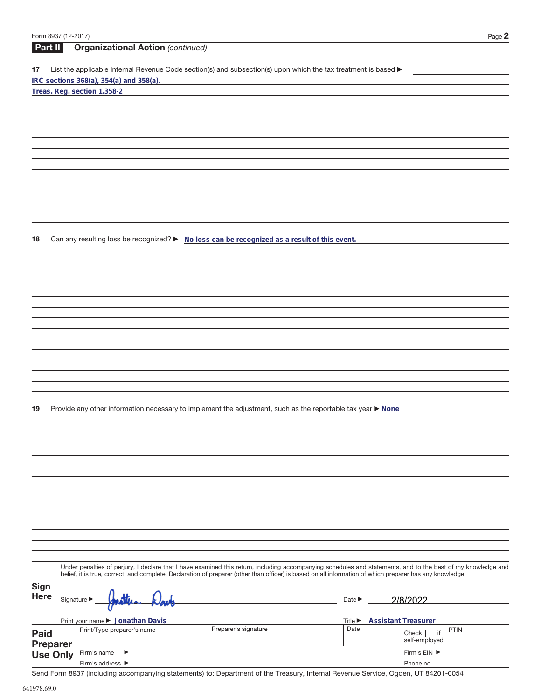| Form 8937 (12-2017) |                                                                                                                                                              |                      |                                     | Page 2                                |
|---------------------|--------------------------------------------------------------------------------------------------------------------------------------------------------------|----------------------|-------------------------------------|---------------------------------------|
| Part II             | <b>Organizational Action (continued)</b>                                                                                                                     |                      |                                     |                                       |
|                     |                                                                                                                                                              |                      |                                     |                                       |
| 17                  | List the applicable Internal Revenue Code section(s) and subsection(s) upon which the tax treatment is based ▶<br>IRC sections 368(a), 354(a) and 358(a).    |                      |                                     |                                       |
|                     | Treas. Reg. section 1.358-2                                                                                                                                  |                      |                                     |                                       |
|                     |                                                                                                                                                              |                      |                                     |                                       |
|                     |                                                                                                                                                              |                      |                                     |                                       |
|                     |                                                                                                                                                              |                      |                                     |                                       |
|                     |                                                                                                                                                              |                      |                                     |                                       |
|                     |                                                                                                                                                              |                      |                                     |                                       |
|                     |                                                                                                                                                              |                      |                                     |                                       |
|                     |                                                                                                                                                              |                      |                                     |                                       |
|                     |                                                                                                                                                              |                      |                                     |                                       |
|                     |                                                                                                                                                              |                      |                                     |                                       |
|                     |                                                                                                                                                              |                      |                                     |                                       |
|                     |                                                                                                                                                              |                      |                                     |                                       |
|                     |                                                                                                                                                              |                      |                                     |                                       |
| 18                  | Can any resulting loss be recognized? ► No loss can be recognized as a result of this event.                                                                 |                      |                                     |                                       |
|                     |                                                                                                                                                              |                      |                                     |                                       |
|                     |                                                                                                                                                              |                      |                                     |                                       |
|                     |                                                                                                                                                              |                      |                                     |                                       |
|                     |                                                                                                                                                              |                      |                                     |                                       |
|                     |                                                                                                                                                              |                      |                                     |                                       |
|                     |                                                                                                                                                              |                      |                                     |                                       |
|                     |                                                                                                                                                              |                      |                                     |                                       |
|                     |                                                                                                                                                              |                      |                                     |                                       |
|                     |                                                                                                                                                              |                      |                                     |                                       |
|                     |                                                                                                                                                              |                      |                                     |                                       |
|                     |                                                                                                                                                              |                      |                                     |                                       |
|                     |                                                                                                                                                              |                      |                                     |                                       |
|                     |                                                                                                                                                              |                      |                                     |                                       |
| 19                  | Provide any other information necessary to implement the adjustment, such as the reportable tax year ▶ None                                                  |                      |                                     |                                       |
|                     |                                                                                                                                                              |                      |                                     |                                       |
|                     |                                                                                                                                                              |                      |                                     |                                       |
|                     |                                                                                                                                                              |                      |                                     |                                       |
|                     |                                                                                                                                                              |                      |                                     |                                       |
|                     |                                                                                                                                                              |                      |                                     |                                       |
|                     |                                                                                                                                                              |                      |                                     |                                       |
|                     |                                                                                                                                                              |                      |                                     |                                       |
|                     |                                                                                                                                                              |                      |                                     |                                       |
|                     |                                                                                                                                                              |                      |                                     |                                       |
|                     |                                                                                                                                                              |                      |                                     |                                       |
|                     |                                                                                                                                                              |                      |                                     |                                       |
|                     |                                                                                                                                                              |                      |                                     |                                       |
|                     | Under penalties of perjury, I declare that I have examined this return, including accompanying schedules and statements, and to the best of my knowledge and |                      |                                     |                                       |
|                     | belief, it is true, correct, and complete. Declaration of preparer (other than officer) is based on all information of which preparer has any knowledge.     |                      |                                     |                                       |
| <b>Sign</b>         |                                                                                                                                                              |                      |                                     |                                       |
| <b>Here</b>         | Signature $\blacktriangleright$                                                                                                                              |                      | Date $\blacktriangleright$          | 2/8/2022                              |
|                     |                                                                                                                                                              |                      |                                     |                                       |
|                     | Print your name ▶ Jonathan Davis                                                                                                                             |                      | Title $\blacktriangleright$<br>Date | <b>Assistant Treasurer</b>            |
| <b>Paid</b>         | Print/Type preparer's name                                                                                                                                   | Preparer's signature |                                     | <b>PTIN</b><br>Check $\vert \vert$ if |
| <b>Preparer</b>     |                                                                                                                                                              |                      |                                     | self-employed                         |
| <b>Use Only</b>     | Firm's name<br>▶<br>Firm's address ▶                                                                                                                         |                      |                                     | Firm's EIN ▶<br>Phone no.             |
|                     |                                                                                                                                                              |                      |                                     |                                       |

Send Form 8937 (including accompanying statements) to: Department of the Treasury, Internal Revenue Service, Ogden, UT 84201-0054